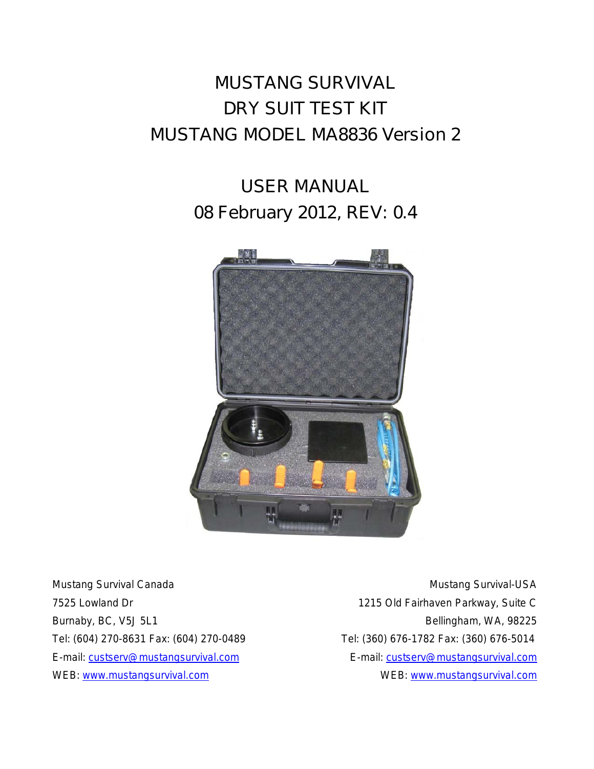# **MUSTANG SURVIVAL DRY SUIT TEST KIT MUSTANG MODEL MA8836 Version 2**

# **USER MANUAL 08 February 2012, REV: 0.4**



Mustang Survival Canada Mustang Survival-USA

7525 Lowland Dr 1215 Old Fairhaven Parkway, Suite C Burnaby, BC, V5J 5L1 Bellingham, WA, 98225 Tel: (604) 270-8631 Fax: (604) 270-0489 Tel: (360) 676-1782 Fax: (360) 676-5014 E-mail: [custserv@mustangsurvival.com](mailto:custserv@mustangsurvival.com) E-mail: [custserv@mustangsurvival.com](mailto:custserv@mustangsurvival.com) WEB: www.mustangsurvival.com example and website www.mustangsurvival.com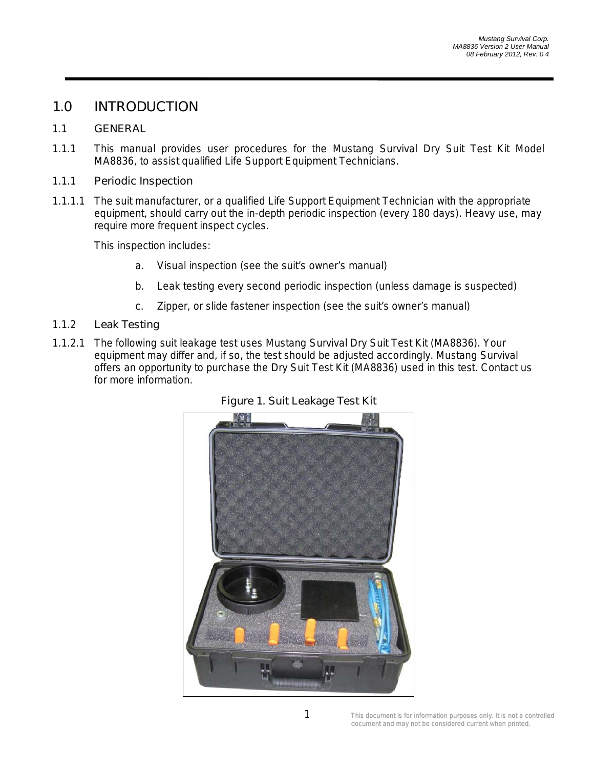## **1.0 INTRODUCTION**

#### 1.1 **GENERAL**

1.1.1 This manual provides user procedures for the Mustang Survival Dry Suit Test Kit Model MA8836, to assist qualified Life Support Equipment Technicians.

#### 1.1.1 **Periodic Inspection**

1.1.1.1 The suit manufacturer, or a qualified Life Support Equipment Technician with the appropriate equipment, should carry out the in-depth periodic inspection (every 180 days). Heavy use, may require more frequent inspect cycles.

This inspection includes:

- a. Visual inspection (see the suit's owner's manual)
- b. Leak testing every second periodic inspection (unless damage is suspected)
- c. Zipper, or slide fastener inspection (see the suit's owner's manual)

#### 1.1.2 **Leak Testing**

1.1.2.1 The following suit leakage test uses Mustang Survival Dry Suit Test Kit (MA8836). Your equipment may differ and, if so, the test should be adjusted accordingly. Mustang Survival offers an opportunity to purchase the Dry Suit Test Kit (MA8836) used in this test. Contact us for more information.



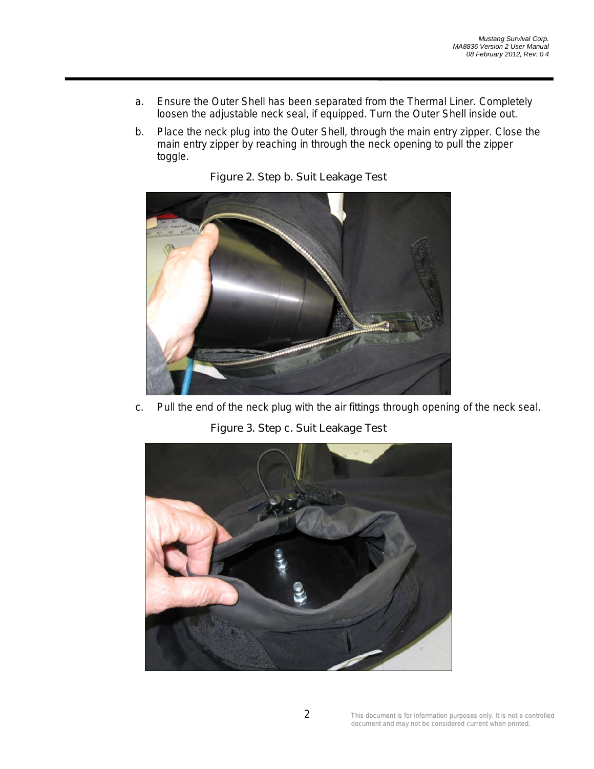- a. Ensure the Outer Shell has been separated from the Thermal Liner. Completely loosen the adjustable neck seal, if equipped. Turn the Outer Shell inside out.
- b. Place the neck plug into the Outer Shell, through the main entry zipper. Close the main entry zipper by reaching in through the neck opening to pull the zipper toggle.



**Figure 2. Step b. Suit Leakage Test**

c. Pull the end of the neck plug with the air fittings through opening of the neck seal.

**Figure 3. Step c. Suit Leakage Test**

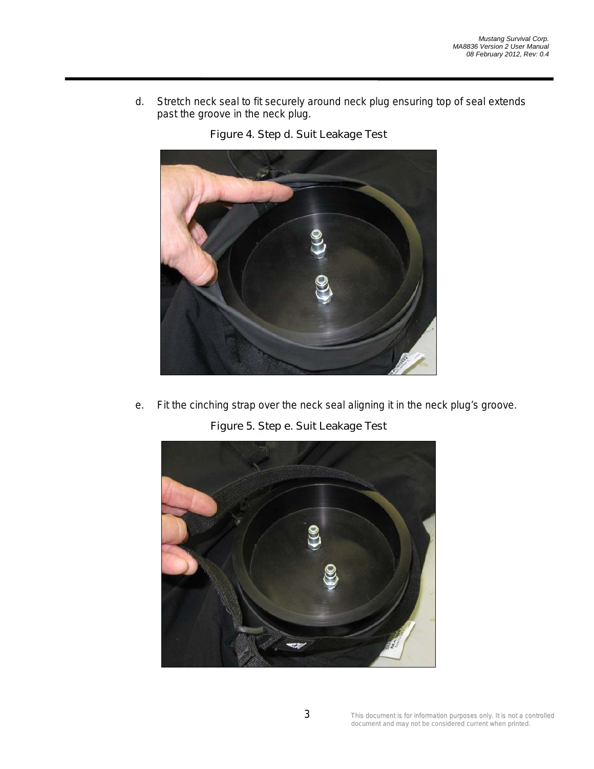d. Stretch neck seal to fit securely around neck plug ensuring top of seal extends past the groove in the neck plug.



**Figure 4. Step d. Suit Leakage Test**

e. Fit the cinching strap over the neck seal aligning it in the neck plug's groove.

**Figure 5. Step e. Suit Leakage Test**

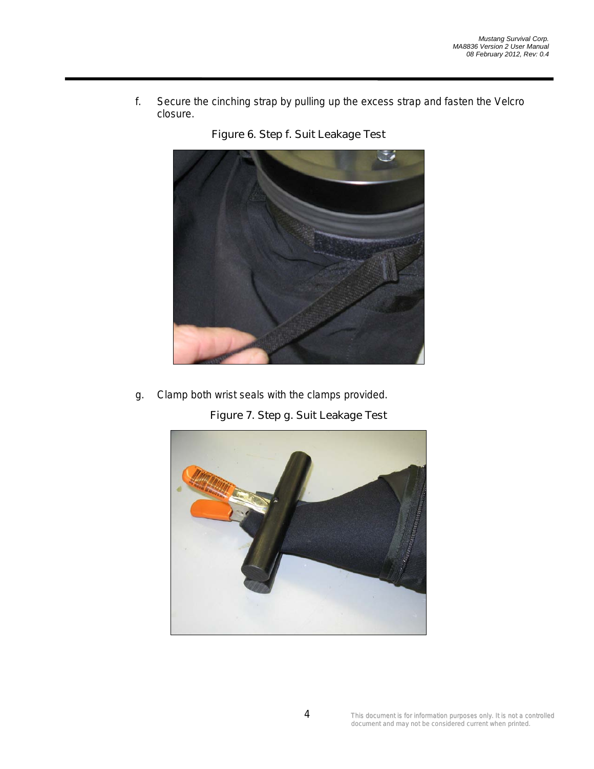f. Secure the cinching strap by pulling up the excess strap and fasten the Velcro closure.





g. Clamp both wrist seals with the clamps provided.

**Figure 7. Step g. Suit Leakage Test**

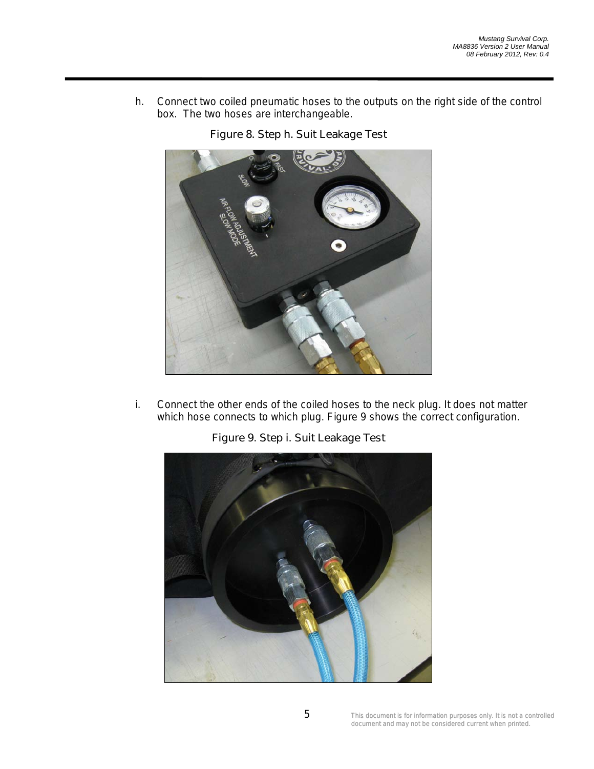h. Connect two coiled pneumatic hoses to the outputs on the right side of the control box. The two hoses are interchangeable.





i. Connect the other ends of the coiled hoses to the neck plug. It does not matter which hose connects to which plug. Figure 9 shows the correct configuration.



**Figure 9. Step i. Suit Leakage Test**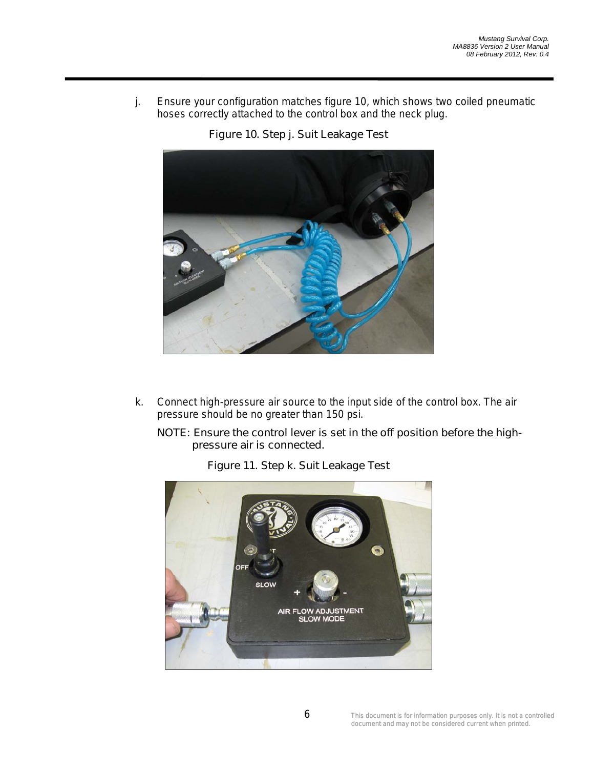j. Ensure your configuration matches figure 10, which shows two coiled pneumatic hoses correctly attached to the control box and the neck plug.





k. Connect high-pressure air source to the input side of the control box. The air pressure should be no greater than 150 psi.

#### *NOTE: Ensure the control lever is set in the off position before the highpressure air is connected.*



**Figure 11. Step k. Suit Leakage Test**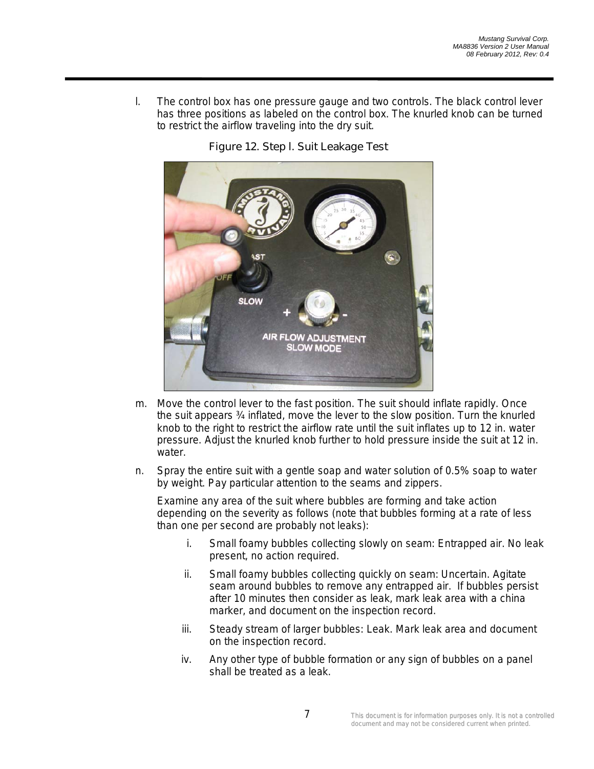l. The control box has one pressure gauge and two controls. The black control lever has three positions as labeled on the control box. The knurled knob can be turned to restrict the airflow traveling into the dry suit.



### **Figure 12. Step l. Suit Leakage Test**

- m. Move the control lever to the fast position. The suit should inflate rapidly. Once the suit appears ¾ inflated, move the lever to the slow position. Turn the knurled knob to the right to restrict the airflow rate until the suit inflates up to 12 in. water pressure. Adjust the knurled knob further to hold pressure inside the suit at 12 in. water.
- n. Spray the entire suit with a gentle soap and water solution of 0.5% soap to water by weight. Pay particular attention to the seams and zippers.

Examine any area of the suit where bubbles are forming and take action depending on the severity as follows (note that bubbles forming at a rate of less than one per second are probably not leaks):

- i. Small foamy bubbles collecting slowly on seam: Entrapped air. No leak present, no action required.
- ii. Small foamy bubbles collecting quickly on seam: Uncertain. Agitate seam around bubbles to remove any entrapped air. If bubbles persist after 10 minutes then consider as leak, mark leak area with a china marker, and document on the inspection record.
- iii. Steady stream of larger bubbles: Leak. Mark leak area and document on the inspection record.
- iv. Any other type of bubble formation or any sign of bubbles on a panel shall be treated as a leak.